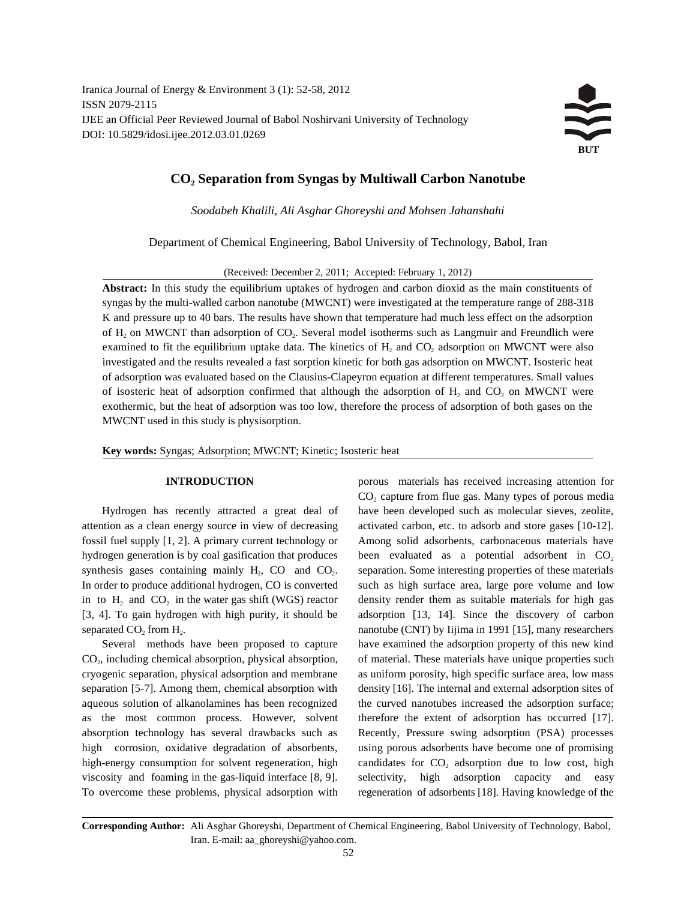Iranica Journal of Energy & Environment 3 (1): 52-58, 2012 ISSN 2079-2115 IJEE an Official Peer Reviewed Journal of Babol Noshirvani University of Technology DOI: 10.5829/idosi.ijee.2012.03.01.0269



# $CO<sub>2</sub>$  Separation from Syngas by Multiwall Carbon Nanotube

*Soodabeh Khalili, Ali Asghar Ghoreyshi and Mohsen Jahanshahi* 

Department of Chemical Engineering, Babol University of Technology, Babol, Iran

(Received: December 2, 2011; Accepted: February 1, 2012)

**Abstract:** In this study the equilibrium uptakes of hydrogen and carbon dioxid as the main constituents of syngas by the multi-walled carbon nanotube (MWCNT) were investigated at the temperature range of 288-318 K and pressure up to 40 bars. The results have shown that temperature had much less effect on the adsorption of  $H_2$  on MWCNT than adsorption of  $CO<sub>2</sub>$ . Several model isotherms such as Langmuir and Freundlich were examined to fit the equilibrium uptake data. The kinetics of H, and CO, adsorption on MWCNT were also investigated and the results revealed a fast sorption kinetic for both gas adsorption on MWCNT. Isosteric heat of adsorption was evaluated based on the Clausius-Clapeyron equation at different temperatures. Small values of isosteric heat of adsorption confirmed that although the adsorption of  $H<sub>2</sub>$  and CO, on MWCNT were exothermic, but the heat of adsorption was too low, therefore the process of adsorption of both gases on the MWCNT used in this study is physisorption.

**Key words:** Syngas; Adsorption; MWCNT; Kinetic; Isosteric heat

attention as a clean energy source in view of decreasing activated carbon, etc. to adsorb and store gases [10-12]. fossil fuel supply [1, 2]. A primary current technology or Among solid adsorbents, carbonaceous materials have hydrogen generation is by coal gasification that produces been evaluated as a potential adsorbent in  $CO_2$ synthesis gases containing mainly  $H_2$ , CO and CO<sub>2</sub>, separation. Some interesting properties of these materials In order to produce additional hydrogen, CO is converted such as high surface area, large pore volume and low in to  $H_2$  and  $CO_2$  in the water gas shift (WGS) reactor density render them as suitable materials for high gas [3, 4]. To gain hydrogen with high purity, it should be adsorption [13, 14]. Since the discovery of carbon separated CO<sub>2</sub> from H<sub>2</sub>. 2 2 2 2 nanotube (CNT) by Iijima in 1991 [15], many researchers

CO<sub>2</sub>, including chemical absorption, physical absorption, of material. These materials have unique properties such cryogenic separation, physical adsorption and membrane as uniform porosity, high specific surface area, low mass separation [5-7]. Among them, chemical absorption with density [16]. The internal and external adsorption sites of aqueous solution of alkanolamines has been recognized the curved nanotubes increased the adsorption surface; as the most common process. However, solvent therefore the extent of adsorption has occurred [17]. absorption technology has several drawbacks such as Recently, Pressure swing adsorption (PSA) processes high corrosion, oxidative degradation of absorbents, using porous adsorbents have become one of promising viscosity and foaming in the gas-liquid interface [8, 9]. selectivity, high adsorption capacity and easy To overcome these problems, physical adsorption with regeneration of adsorbents [18]. Having knowledge of the

**INTRODUCTION porous** materials has received increasing attention for Hydrogen has recently attracted a great deal of have been developed such as molecular sieves, zeolite, Several methods have been proposed to capture have examined the adsorption property of this new kind high-energy consumption for solvent regeneration, high candidates for  $CO<sub>2</sub>$  adsorption due to low cost, high CO<sub>2</sub> capture from flue gas. Many types of porous media

**Corresponding Author:** Ali Asghar Ghoreyshi, Department of Chemical Engineering, Babol University of Technology, Babol, Iran. E-mail: aa\_ghoreyshi@yahoo.com.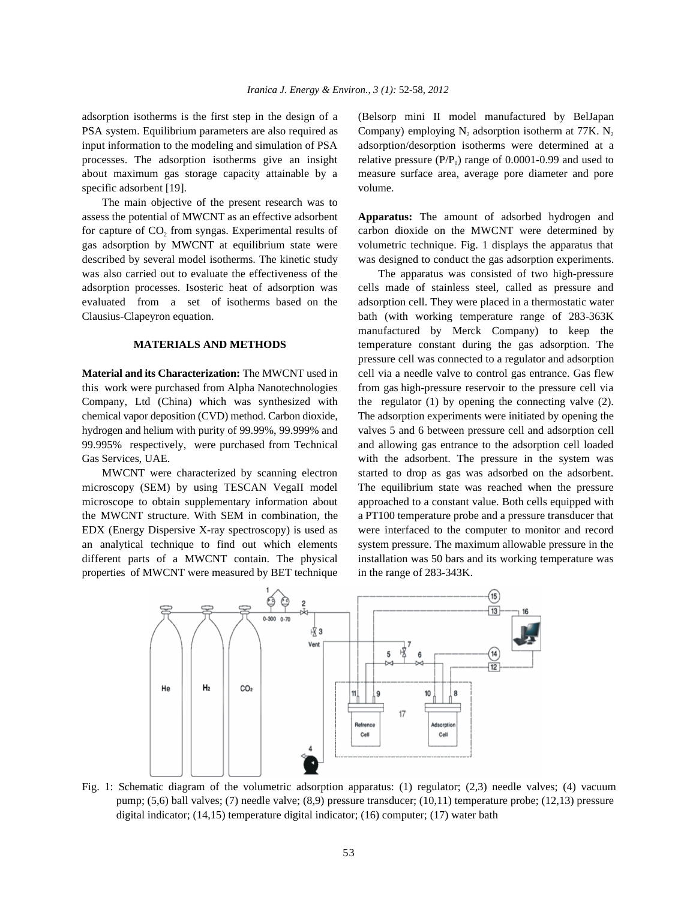PSA system. Equilibrium parameters are also required as Company) employing  $N_2$  adsorption isotherm at 77K.  $N_2$ input information to the modeling and simulation of PSA adsorption/desorption isotherms were determined at a processes. The adsorption isotherms give an insight relative pressure  $(P/P_0)$  range of 0.0001-0.99 and used to about maximum gas storage capacity attainable by a measure surface area, average pore diameter and pore specific adsorbent [19]. volume.

The main objective of the present research was to assess the potential of MWCNT as an effective adsorbent **Apparatus:** The amount of adsorbed hydrogen and for capture of CO<sub>2</sub> from syngas. Experimental results of carbon dioxide on the MWCNT were determined by gas adsorption by MWCNT at equilibrium state were volumetric technique. Fig. 1 displays the apparatus that described by several model isotherms. The kinetic study was designed to conduct the gas adsorption experiments. was also carried out to evaluate the effectiveness of the The apparatus was consisted of two high-pressure adsorption processes. Isosteric heat of adsorption was cells made of stainless steel, called as pressure and evaluated from a set of isotherms based on the adsorption cell. They were placed in a thermostatic water Clausius-Clapeyron equation. bath (with working temperature range of 283-363K

this work were purchased from Alpha Nanotechnologies from gas high-pressure reservoir to the pressure cell via Company, Ltd (China) which was synthesized with the regulator (1) by opening the connecting valve (2). chemical vapor deposition (CVD) method. Carbon dioxide, The adsorption experiments were initiated by opening the hydrogen and helium with purity of 99.99%, 99.999% and valves 5 and 6 between pressure cell and adsorption cell 99.995% respectively, were purchased from Technical and allowing gas entrance to the adsorption cell loaded Gas Services, UAE. We can consider the system was with the adsorbent. The pressure in the system was

microscopy (SEM) by using TESCAN VegaII model The equilibrium state was reached when the pressure microscope to obtain supplementary information about approached to a constant value. Both cells equipped with the MWCNT structure. With SEM in combination, the a PT100 temperature probe and a pressure transducer that EDX (Energy Dispersive X-ray spectroscopy) is used as were interfaced to the computer to monitor and record an analytical technique to find out which elements system pressure. The maximum allowable pressure in the different parts of a MWCNT contain. The physical installation was 50 bars and its working temperature was properties of MWCNT were measured by BET technique in the range of 283-343K.

adsorption isotherms is the first step in the design of a (Belsorp mini II model manufactured by BelJapan

**MATERIALS AND METHODS** temperature constant during the gas adsorption. The **Material and its Characterization:** The MWCNT used in cell via a needle valve to control gas entrance. Gas flew MWCNT were characterized by scanning electron started to drop as gas was adsorbed on the adsorbent. manufactured by Merck Company) to keep the pressure cell was connected to a regulator and adsorption



Fig. 1: Schematic diagram of the volumetric adsorption apparatus: (1) regulator; (2,3) needle valves; (4) vacuum pump; (5,6) ball valves; (7) needle valve; (8,9) pressure transducer; (10,11) temperature probe; (12,13) pressure digital indicator; (14,15) temperature digital indicator; (16) computer; (17) water bath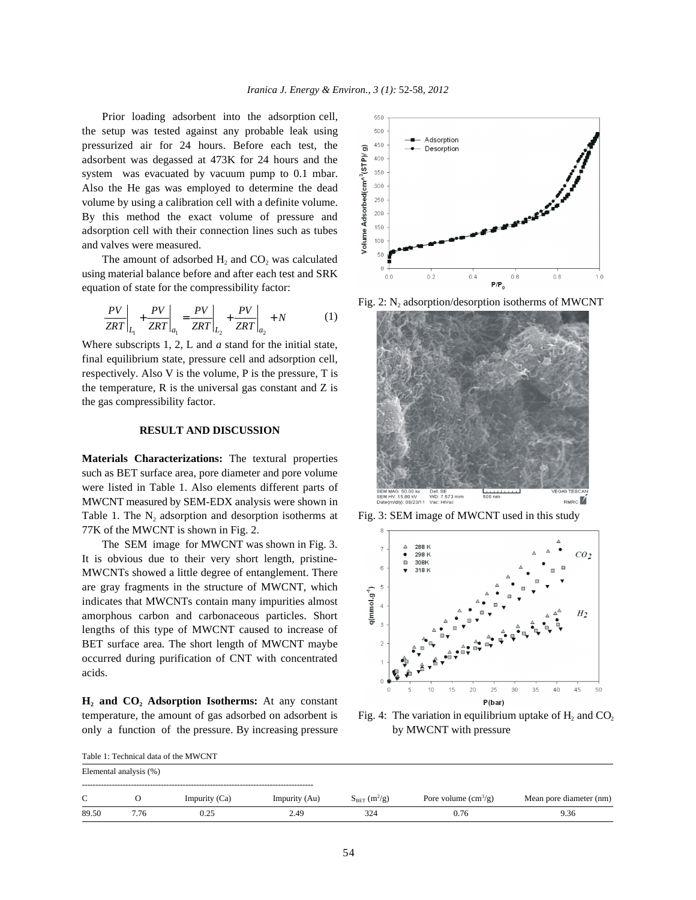Prior loading adsorbent into the adsorption cell, the setup was tested against any probable leak using pressurized air for 24 hours. Before each test, the adsorbent was degassed at 473K for 24 hours and the system was evacuated by vacuum pump to 0.1 mbar. Also the He gas was employed to determine the dead volume by using a calibration cell with a definite volume. By this method the exact volume of pressure and adsorption cell with their connection lines such as tubes and valves were measured.

The amount of adsorbed H<sub>2</sub> and CO<sub>2</sub> was calculated using material balance before and after each test and SRK equation of state for the compressibility factor:

$$
\left. \frac{PV}{ZRT} \right|_{L_1} + \left. \frac{PV}{ZRT} \right|_{a_1} = \left. \frac{PV}{ZRT} \right|_{L_2} + \left. \frac{PV}{ZRT} \right|_{a_2} + N \tag{1}
$$

Where subscripts 1, 2, L and *a* stand for the initial state, final equilibrium state, pressure cell and adsorption cell, respectively. Also V is the volume, P is the pressure, T is the temperature,  $R$  is the universal gas constant and  $Z$  is the gas compressibility factor.

## **RESULT AND DISCUSSION**

**Materials Characterizations:** The textural properties such as BET surface area, pore diameter and pore volume were listed in Table 1. Also elements different parts of MWCNT measured by SEM-EDX analysis were shown in Table 1. The N<sub>2</sub> adsorption and desorption isotherms at Fig. 3: SEM image of MWCNT used in this study 77K of the MWCNT is shown in Fig. 2.

The SEM image for MWCNT was shown in Fig. 3. It is obvious due to their very short length, pristine-MWCNTs showed a little degree of entanglement. There are gray fragments in the structure of MWCNT, which indicates that MWCNTs contain many impurities almost amorphous carbon and carbonaceous particles. Short lengths of this type of MWCNT caused to increase of BET surface area. The short length of MWCNT maybe occurred during purification of CNT with concentrated acids.

**H<sub>2</sub>** and CO<sub>2</sub><sup></sup> Adsorption Isotherms: At any constant temperature, the amount of gas adsorbed on adsorbent is Fig. 4: The variation in equilibrium uptake of  $H_2$  and  $CO_2$ only a function of the pressure. By increasing pressure by MWCNT with pressure



Fig. 2:  $N_2$ , adsorption/desorption isotherms of MWCNT





| Table 1: Technical data of the MWCNT |      |               |               |                               |                                      |                         |  |  |  |  |  |
|--------------------------------------|------|---------------|---------------|-------------------------------|--------------------------------------|-------------------------|--|--|--|--|--|
| Elemental analysis (%)               |      |               |               |                               |                                      |                         |  |  |  |  |  |
| C                                    |      | Impurity (Ca) | Impurity (Au) | $S_{BET}$ (m <sup>2</sup> /g) | Pore volume $\text{cm}^3/\text{g}$ ) | Mean pore diameter (nm) |  |  |  |  |  |
| 89.50                                | 7.76 | 0.25          | 2.49          | 324                           | 0.76                                 | 9.36                    |  |  |  |  |  |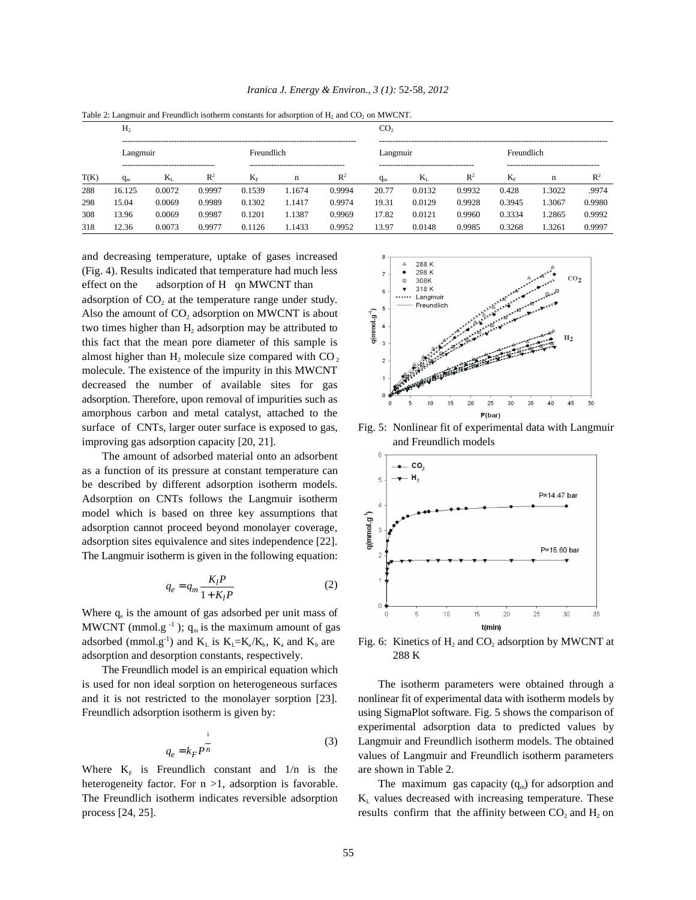|      | Table 2. Early many Prediction is concerned constants for adsorption of H <sub>2</sub> and CO <sub>2</sub> on NPW Civit.<br>H <sub>2</sub> |                                              |                |            |                                            |                | CO,   |                                                 |                |             |                                          |                |  |
|------|--------------------------------------------------------------------------------------------------------------------------------------------|----------------------------------------------|----------------|------------|--------------------------------------------|----------------|-------|-------------------------------------------------|----------------|-------------|------------------------------------------|----------------|--|
|      | Langmuir                                                                                                                                   |                                              |                | Freundlich |                                            |                |       | Langmuir                                        |                | Freundlich  |                                          |                |  |
| T(K) | $q_{m}$                                                                                                                                    | -----------------------------------<br>$K_I$ | $\mathbb{R}^2$ | $K_{F}$    | -------------------------------------<br>n | $\mathbb{R}^2$ | $q_m$ | ------------------------------------<br>$K_{I}$ | $\mathbb{R}^2$ | $K_{\rm E}$ | -----------------------------------<br>n | R <sup>2</sup> |  |
| 288  | 16.125                                                                                                                                     | 0.0072                                       | 0.9997         | 0.1539     | 1.1674                                     | 0.9994         | 20.77 | 0.0132                                          | 0.9932         | 0.428       | 1.3022                                   | .9974          |  |
| 298  | 15.04                                                                                                                                      | 0.0069                                       | 0.9989         | 0.1302     | 1.1417                                     | 0.9974         | 19.31 | 0.0129                                          | 0.9928         | 0.3945      | 1.3067                                   | 0.9980         |  |
| 308  | 13.96                                                                                                                                      | 0.0069                                       | 0.9987         | 0.1201     | 1.1387                                     | 0.9969         | 17.82 | 0.0121                                          | 0.9960         | 0.3334      | 1.2865                                   | 0.9992         |  |
| 318  | 12.36                                                                                                                                      | 0.0073                                       | 0.9977         | 0.1126     | 1.1433                                     | 0.9952         | 13.97 | 0.0148                                          | 0.9985         | 0.3268      | 1.3261                                   | 0.9997         |  |

*Iranica J. Energy & Environ., 3 (1):* 52-58*, 2012*

Table 2: Langmuir and Freundlich isotherm constants for adsorption of H and CO on MWCNT.

and decreasing temperature, uptake of gases increased (Fig. 4). Results indicated that temperature had much less effect on the adsorption of H on MWCNT than adsorption of  $CO<sub>2</sub>$  at the temperature range under study. Also the amount of  $CO<sub>2</sub>$  adsorption on MWCNT is about two times higher than  $H_2$  adsorption may be attributed to this fact that the mean pore diameter of this sample is almost higher than  $H_2$  molecule size compared with CO<sub>2</sub> molecule. The existence of the impurity in this MWCNT decreased the number of available sites for gas adsorption. Therefore, upon removal of impurities such as amorphous carbon and metal catalyst, attached to the surface of CNTs, larger outer surface is exposed to gas, Fig. 5: Nonlinear fit of experimental data with Langmuir improving gas adsorption capacity [20, 21]. and Freundlich models

The amount of adsorbed material onto an adsorbent as a function of its pressure at constant temperature can be described by different adsorption isotherm models. Adsorption on CNTs follows the Langmuir isotherm model which is based on three key assumptions that adsorption cannot proceed beyond monolayer coverage, adsorption sites equivalence and sites independence [22]. The Langmuir isotherm is given in the following equation:

$$
q_e = q_m \frac{K_l P}{1 + K_l P} \tag{2}
$$

Where  $q_e$  is the amount of gas adsorbed per unit mass of MWCNT (mmol.g<sup>-1</sup>);  $q_m$  is the maximum amount of gas adsorbed (mmol.g<sup>-1</sup>) and  $K_L$  is  $K_L = K_a/K_b$ ,  $K_a$  and  $K_b$  are adsorption and desorption constants, respectively. 288 K

The Freundlich model is an empirical equation which is used for non ideal sorption on heterogeneous surfaces The isotherm parameters were obtained through a and it is not restricted to the monolayer sorption [23]. nonlinear fit of experimental data with isotherm models by Freundlich adsorption isotherm is given by: using SigmaPlot software. Fig. 5 shows the comparison of

$$
q_e = k_F P^{\frac{1}{n}}
$$
 (3)

Where  $K_F$  is Freundlich constant and  $1/n$  is the are shown in Table 2. heterogeneity factor. For  $n > 1$ , adsorption is favorable. The Freundlich isotherm indicates reversible adsorption  $K<sub>L</sub>$  values decreased with increasing temperature. These process [24, 25]. results confirm that the affinity between  $CO_2$  and  $H_2$  on





) and  $K_L$  is  $K_L = K_a/K_b$ ,  $K_a$  and  $K_b$  are Fig. 6: Kinetics of  $H_2$  and  $CO_2$  adsorption by MWCNT at

Langmuir and Freundlich isotherm models. The obtained experimental adsorption data to predicted values by values of Langmuir and Freundlich isotherm parameters

The maximum gas capacity  $(q_m)$  for adsorption and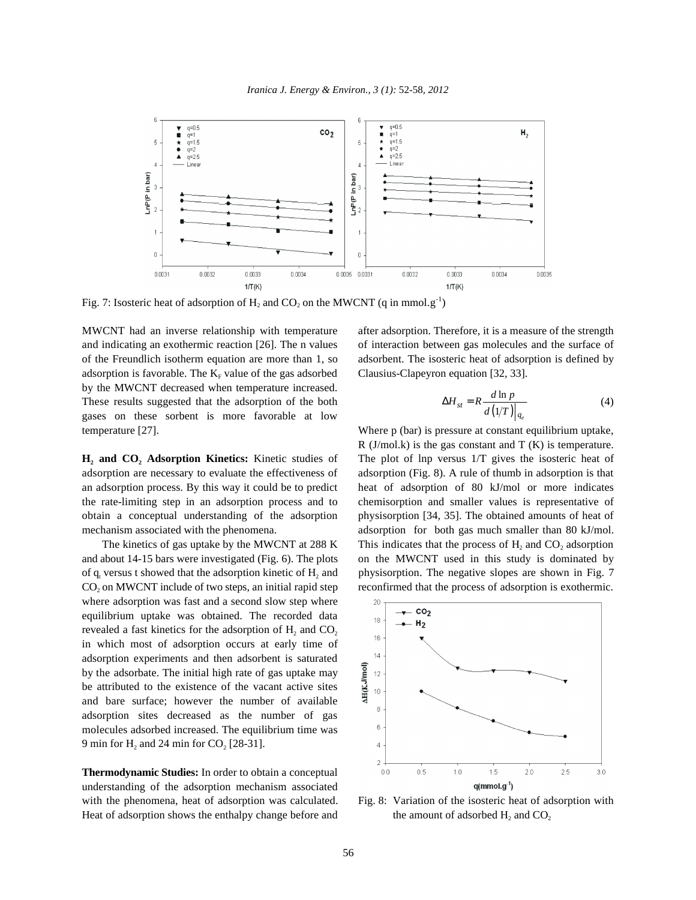

Fig. 7: Isosteric heat of adsorption of H, and CO, on the MWCNT (q in mmol.g<sup>-1</sup>)

and indicating an exothermic reaction [26]. The n values of interaction between gas molecules and the surface of of the Freundlich isotherm equation are more than 1, so adsorbent. The isosteric heat of adsorption is defined by adsorption is favorable. The  $K_F$  value of the gas adsorbed Clausius-Clapeyron equation [32, 33]. by the MWCNT decreased when temperature increased. These results suggested that the adsorption of the both (4) gases on these sorbent is more favorable at low temperature [27]. Where p (bar) is pressure at constant equilibrium uptake,

adsorption are necessary to evaluate the effectiveness of adsorption (Fig. 8). A rule of thumb in adsorption is that an adsorption process. By this way it could be to predict heat of adsorption of 80 kJ/mol or more indicates the rate-limiting step in an adsorption process and to chemisorption and smaller values is representative of obtain a conceptual understanding of the adsorption physisorption [34, 35]. The obtained amounts of heat of mechanism associated with the phenomena. <br>adsorption for both gas much smaller than 80 kJ/mol.

and about 14-15 bars were investigated (Fig. 6). The plots on the MWCNT used in this study is dominated by of  $q_i$  versus t showed that the adsorption kinetic of  $H_2$  and physisorption. The negative slopes are shown in Fig. 7  $CO<sub>2</sub>$  on MWCNT include of two steps, an initial rapid step reconfirmed that the process of adsorption is exothermic. where adsorption was fast and a second slow step where equilibrium uptake was obtained. The recorded data revealed a fast kinetics for the adsorption of  $H<sub>2</sub>$  and CO<sub>2</sub> in which most of adsorption occurs at early time of adsorption experiments and then adsorbent is saturated by the adsorbate. The initial high rate of gas uptake may be attributed to the existence of the vacant active sites and bare surface; however the number of available adsorption sites decreased as the number of gas molecules adsorbed increased. The equilibrium time was 9 min for  $H_2$  and 24 min for  $CO_2$  [28-31].

**Thermodynamic Studies:** In order to obtain a conceptual understanding of the adsorption mechanism associated with the phenomena, heat of adsorption was calculated. Fig. 8: Variation of the isosteric heat of adsorption with Heat of adsorption shows the enthalpy change before and

MWCNT had an inverse relationship with temperature after adsorption. Therefore, it is a measure of the strength

$$
\Delta H_{st} = R \frac{d \ln p}{d (1/T)|_{q_e}} \tag{4}
$$

**H<sub>2</sub>** and CO<sub>2</sub> Adsorption Kinetics: Kinetic studies of The plot of lnp versus 1/T gives the isosteric heat of The kinetics of gas uptake by the MWCNT at 288 K This indicates that the process of  $H_2$  and  $CO_2$  adsorption R  $(J/mol.k)$  is the gas constant and T  $(K)$  is temperature.



the amount of adsorbed H, and CO,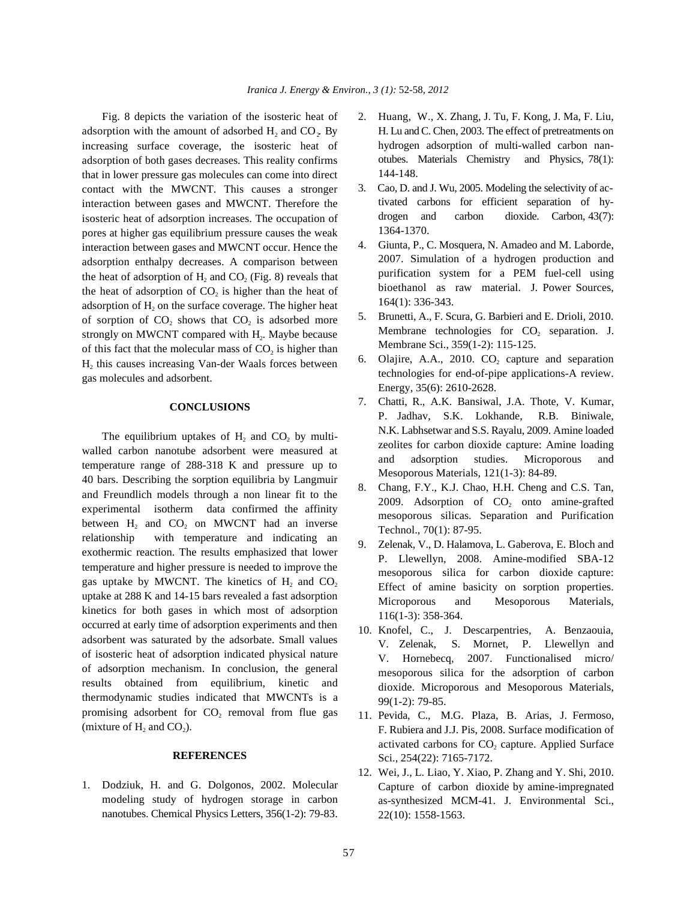adsorption with the amount of adsorbed  $H_2$  and  $CO_2$ . By increasing surface coverage, the isosteric heat of adsorption of both gases decreases. This reality confirms that in lower pressure gas molecules can come into direct contact with the MWCNT. This causes a stronger interaction between gases and MWCNT. Therefore the isosteric heat of adsorption increases. The occupation of pores at higher gas equilibrium pressure causes the weak interaction between gases and MWCNT occur. Hence the adsorption enthalpy decreases. A comparison between the heat of adsorption of  $H_2$  and  $CO$ , (Fig. 8) reveals that the heat of adsorption of  $CO<sub>2</sub>$  is higher than the heat of adsorption of  $H<sub>2</sub>$  on the surface coverage. The higher heat of sorption of  $CO<sub>2</sub>$  shows that  $CO<sub>2</sub>$  is adsorbed more strongly on MWCNT compared with  $H<sub>2</sub>$ . Maybe because of this fact that the molecular mass of  $CO<sub>2</sub>$  is higher than H<sub>2</sub> this causes increasing Van-der Waals forces between gas molecules and adsorbent.

### **CONCLUSIONS**

The equilibrium uptakes of  $H_2$  and  $CO_2$  by multiwalled carbon nanotube adsorbent were measured at temperature range of 288-318 K and pressure up to 40 bars. Describing the sorption equilibria by Langmuir and Freundlich models through a non linear fit to the experimental isotherm data confirmed the affinity between  $H_2$  and  $CO_2$  on MWCNT had an inverse relationship with temperature and indicating an exothermic reaction. The results emphasized that lower temperature and higher pressure is needed to improve the gas uptake by MWCNT. The kinetics of  $H_2$  and  $CO_2$ uptake at 288 K and 14-15 bars revealed a fast adsorption kinetics for both gases in which most of adsorption occurred at early time of adsorption experiments and then adsorbent was saturated by the adsorbate. Small values of isosteric heat of adsorption indicated physical nature of adsorption mechanism. In conclusion, the general results obtained from equilibrium, kinetic and thermodynamic studies indicated that MWCNTs is a promising adsorbent for  $CO<sub>2</sub>$  removal from flue gas (mixture of  $H_2$  and  $CO<sub>2</sub>$ ).

## **REFERENCES**

1. Dodziuk, H. and G. Dolgonos, 2002. Molecular modeling study of hydrogen storage in carbon nanotubes. Chemical Physics Letters, 356(1-2): 79-83.

- Fig. 8 depicts the variation of the isosteric heat of 2. Huang, W., X. Zhang, J. Tu, F. Kong, J. Ma, F. Liu, H. Lu and C. Chen, 2003. The effect of pretreatments on hydrogen adsorption of multi-walled carbon nanotubes. Materials Chemistry and Physics, 78(1): 144-148.
	- 3. Cao, D. and J. Wu, 2005. Modeling the selectivity of activated carbons for efficient separation of hydrogen and carbon dioxide. Carbon, 43(7): 1364-1370.
	- 4. Giunta, P., C. Mosquera, N. Amadeo and M. Laborde, 2007. Simulation of a hydrogen production and purification system for a PEM fuel-cell using bioethanol as raw material. J. Power Sources, 164(1): 336-343.
	- 5. Brunetti, A., F. Scura, G. Barbieri and E. Drioli, 2010. Membrane technologies for  $CO<sub>2</sub>$  separation. J. Membrane Sci., 359(1-2): 115-125.
	- 6. Olajire, A.A., 2010. CO<sub>2</sub> capture and separation technologies for end-of-pipe applications-A review. Energy, 35(6): 2610-2628.
	- 7. Chatti, R., A.K. Bansiwal, J.A. Thote, V. Kumar, P. Jadhav, S.K. Lokhande, R.B. Biniwale, N.K. Labhsetwar and S.S. Rayalu, 2009. Amine loaded zeolites for carbon dioxide capture: Amine loading and adsorption studies. Microporous and Mesoporous Materials, 121(1-3): 84-89.
	- 8. Chang, F.Y., K.J. Chao, H.H. Cheng and C.S. Tan, 2009. Adsorption of  $CO<sub>2</sub>$  onto amine-grafted mesoporous silicas. Separation and Purification Technol., 70(1): 87-95.
	- 9. Zelenak, V., D. Halamova, L. Gaberova, E. Bloch and P. Llewellyn, 2008. Amine-modified SBA-12 mesoporous silica for carbon dioxide capture: Effect of amine basicity on sorption properties. Microporous and Mesoporous Materials, 116(1-3): 358-364.
	- 10. Knofel, C., J. Descarpentries, A. Benzaouia, V. Zelenak, S. Mornet, P. Llewellyn and V. Hornebecq, 2007. Functionalised micro/ mesoporous silica for the adsorption of carbon dioxide. Microporous and Mesoporous Materials, 99(1-2): 79-85.
	- 11. Pevida, C., M.G. Plaza, B. Arias, J. Fermoso, F. Rubiera and J.J. Pis, 2008. Surface modification of activated carbons for  $CO<sub>2</sub>$  capture. Applied Surface Sci., 254(22): 7165-7172.
	- 12. Wei, J., L. Liao, Y. Xiao, P. Zhang and Y. Shi, 2010. Capture of carbon dioxide by amine-impregnated as-synthesized MCM-41. J. Environmental Sci., 22(10): 1558-1563.